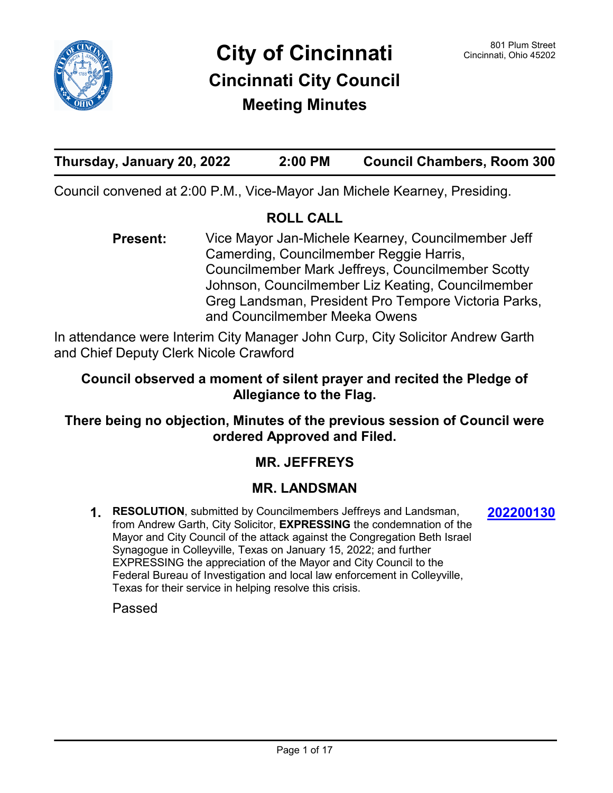

# **Thursday, January 20, 2022 2:00 PM Council Chambers, Room 300**

Council convened at 2:00 P.M., Vice-Mayor Jan Michele Kearney, Presiding.

#### **ROLL CALL**

Vice Mayor Jan-Michele Kearney, Councilmember Jeff Camerding, Councilmember Reggie Harris, Councilmember Mark Jeffreys, Councilmember Scotty Johnson, Councilmember Liz Keating, Councilmember Greg Landsman, President Pro Tempore Victoria Parks, and Councilmember Meeka Owens **Present:**

In attendance were Interim City Manager John Curp, City Solicitor Andrew Garth and Chief Deputy Clerk Nicole Crawford

## **Council observed a moment of silent prayer and recited the Pledge of Allegiance to the Flag.**

## **There being no objection, Minutes of the previous session of Council were ordered Approved and Filed.**

## **MR. JEFFREYS**

### **MR. LANDSMAN**

**1. RESOLUTION**, submitted by Councilmembers Jeffreys and Landsman, from Andrew Garth, City Solicitor, **EXPRESSING** the condemnation of the Mayor and City Council of the attack against the Congregation Beth Israel Synagogue in Colleyville, Texas on January 15, 2022; and further EXPRESSING the appreciation of the Mayor and City Council to the Federal Bureau of Investigation and local law enforcement in Colleyville, Texas for their service in helping resolve this crisis.

**[202200130](http://cincinnatioh.legistar.com/gateway.aspx?m=l&id=/matter.aspx?key=7157)**

Passed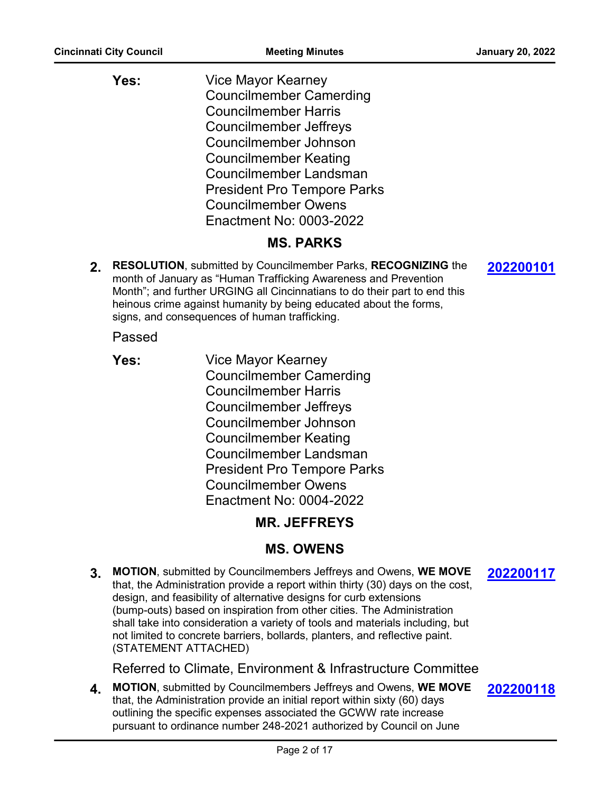| Yes: | <b>Vice Mayor Kearney</b>          |
|------|------------------------------------|
|      | <b>Councilmember Camerding</b>     |
|      | <b>Councilmember Harris</b>        |
|      | <b>Councilmember Jeffreys</b>      |
|      | Councilmember Johnson              |
|      | <b>Councilmember Keating</b>       |
|      | Councilmember Landsman             |
|      | <b>President Pro Tempore Parks</b> |
|      | <b>Councilmember Owens</b>         |
|      | Enactment No: 0003-2022            |

### **MS. PARKS**

**2. RESOLUTION**, submitted by Councilmember Parks, **RECOGNIZING** the month of January as "Human Trafficking Awareness and Prevention Month"; and further URGING all Cincinnatians to do their part to end this heinous crime against humanity by being educated about the forms, signs, and consequences of human trafficking.

Passed

- **Yes:**
- Vice Mayor Kearney Councilmember Camerding Councilmember Harris Councilmember Jeffreys Councilmember Johnson Councilmember Keating Councilmember Landsman President Pro Tempore Parks Councilmember Owens Enactment No: 0004-2022

## **MR. JEFFREYS**

## **MS. OWENS**

**3. MOTION**, submitted by Councilmembers Jeffreys and Owens, **WE MOVE** that, the Administration provide a report within thirty (30) days on the cost, design, and feasibility of alternative designs for curb extensions (bump-outs) based on inspiration from other cities. The Administration shall take into consideration a variety of tools and materials including, but not limited to concrete barriers, bollards, planters, and reflective paint. (STATEMENT ATTACHED)

Referred to Climate, Environment & Infrastructure Committee

**4. MOTION**, submitted by Councilmembers Jeffreys and Owens, **WE MOVE** that, the Administration provide an initial report within sixty (60) days outlining the specific expenses associated the GCWW rate increase pursuant to ordinance number 248-2021 authorized by Council on June **[202200118](http://cincinnatioh.legistar.com/gateway.aspx?m=l&id=/matter.aspx?key=7151)**

**[202200101](http://cincinnatioh.legistar.com/gateway.aspx?m=l&id=/matter.aspx?key=7140)**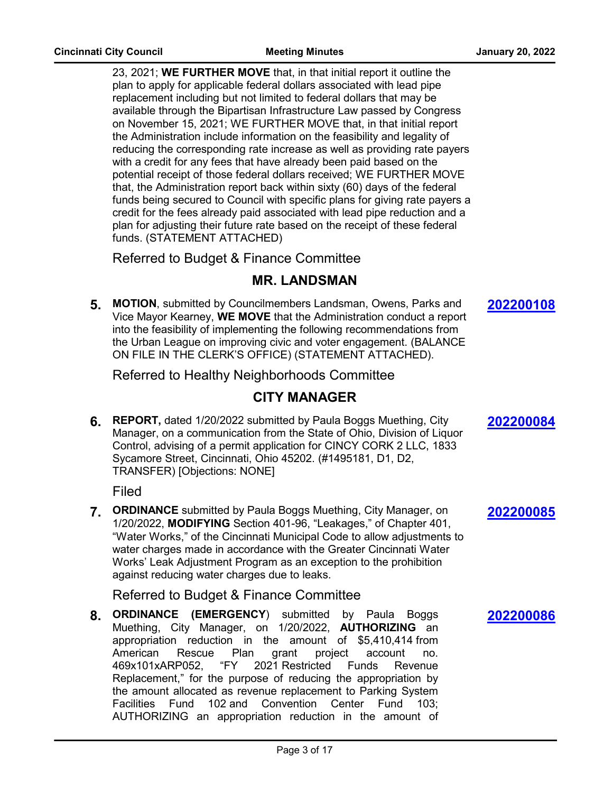23, 2021; **WE FURTHER MOVE** that, in that initial report it outline the plan to apply for applicable federal dollars associated with lead pipe replacement including but not limited to federal dollars that may be available through the Bipartisan Infrastructure Law passed by Congress on November 15, 2021; WE FURTHER MOVE that, in that initial report the Administration include information on the feasibility and legality of reducing the corresponding rate increase as well as providing rate payers with a credit for any fees that have already been paid based on the potential receipt of those federal dollars received; WE FURTHER MOVE that, the Administration report back within sixty (60) days of the federal funds being secured to Council with specific plans for giving rate payers a credit for the fees already paid associated with lead pipe reduction and a plan for adjusting their future rate based on the receipt of these federal funds. (STATEMENT ATTACHED)

Referred to Budget & Finance Committee

### **MR. LANDSMAN**

**5. MOTION**, submitted by Councilmembers Landsman, Owens, Parks and Vice Mayor Kearney, **WE MOVE** that the Administration conduct a report into the feasibility of implementing the following recommendations from the Urban League on improving civic and voter engagement. (BALANCE ON FILE IN THE CLERK'S OFFICE) (STATEMENT ATTACHED).

Referred to Healthy Neighborhoods Committee

## **CITY MANAGER**

**6. REPORT,** dated 1/20/2022 submitted by Paula Boggs Muething, City Manager, on a communication from the State of Ohio, Division of Liquor Control, advising of a permit application for CINCY CORK 2 LLC, 1833 Sycamore Street, Cincinnati, Ohio 45202. (#1495181, D1, D2, TRANSFER) [Objections: NONE]

Filed

**7. ORDINANCE** submitted by Paula Boggs Muething, City Manager, on 1/20/2022, **MODIFYING** Section 401-96, "Leakages," of Chapter 401, "Water Works," of the Cincinnati Municipal Code to allow adjustments to water charges made in accordance with the Greater Cincinnati Water Works' Leak Adjustment Program as an exception to the prohibition against reducing water charges due to leaks.

Referred to Budget & Finance Committee

**8. ORDINANCE (EMERGENCY**) submitted by Paula Boggs Muething, City Manager, on 1/20/2022, **AUTHORIZING** an appropriation reduction in the amount of \$5,410,414 from American Rescue Plan grant project account no. 469x101xARP052, "FY 2021 Restricted Funds Revenue Replacement," for the purpose of reducing the appropriation by the amount allocated as revenue replacement to Parking System Facilities Fund 102 and Convention Center Fund 103; AUTHORIZING an appropriation reduction in the amount of **[202200108](http://cincinnatioh.legistar.com/gateway.aspx?m=l&id=/matter.aspx?key=7141)**

**[202200084](http://cincinnatioh.legistar.com/gateway.aspx?m=l&id=/matter.aspx?key=7130)**

**[202200085](http://cincinnatioh.legistar.com/gateway.aspx?m=l&id=/matter.aspx?key=7131)**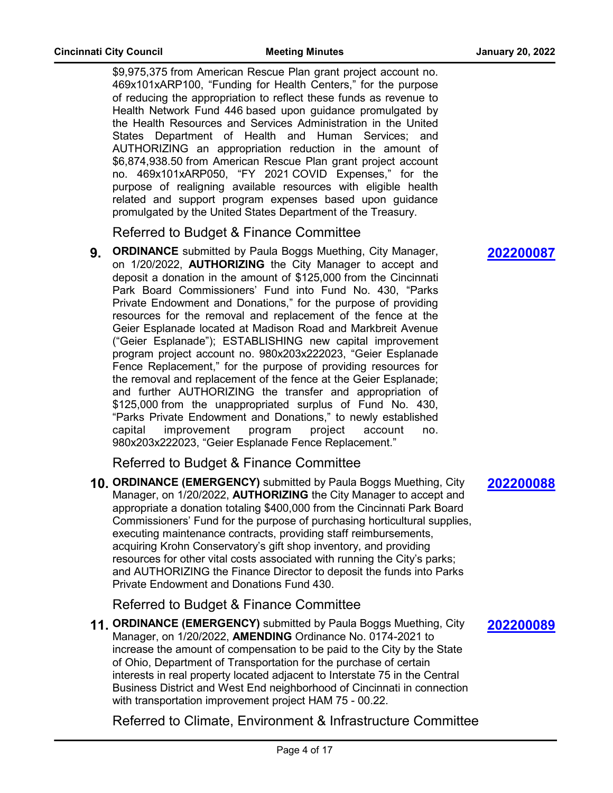\$9,975,375 from American Rescue Plan grant project account no. 469x101xARP100, "Funding for Health Centers," for the purpose of reducing the appropriation to reflect these funds as revenue to Health Network Fund 446 based upon guidance promulgated by the Health Resources and Services Administration in the United States Department of Health and Human Services; and AUTHORIZING an appropriation reduction in the amount of \$6,874,938.50 from American Rescue Plan grant project account no. 469x101xARP050, "FY 2021 COVID Expenses," for the purpose of realigning available resources with eligible health related and support program expenses based upon guidance promulgated by the United States Department of the Treasury.

Referred to Budget & Finance Committee

**9. ORDINANCE** submitted by Paula Boggs Muething, City Manager, on 1/20/2022, **AUTHORIZING** the City Manager to accept and deposit a donation in the amount of \$125,000 from the Cincinnati Park Board Commissioners' Fund into Fund No. 430, "Parks Private Endowment and Donations," for the purpose of providing resources for the removal and replacement of the fence at the Geier Esplanade located at Madison Road and Markbreit Avenue ("Geier Esplanade"); ESTABLISHING new capital improvement program project account no. 980x203x222023, "Geier Esplanade Fence Replacement," for the purpose of providing resources for the removal and replacement of the fence at the Geier Esplanade; and further AUTHORIZING the transfer and appropriation of \$125,000 from the unappropriated surplus of Fund No. 430, "Parks Private Endowment and Donations," to newly established capital improvement program project account no. 980x203x222023, "Geier Esplanade Fence Replacement."

Referred to Budget & Finance Committee

**10. ORDINANCE (EMERGENCY)** submitted by Paula Boggs Muething, City Manager, on 1/20/2022, **AUTHORIZING** the City Manager to accept and appropriate a donation totaling \$400,000 from the Cincinnati Park Board Commissioners' Fund for the purpose of purchasing horticultural supplies, executing maintenance contracts, providing staff reimbursements, acquiring Krohn Conservatory's gift shop inventory, and providing resources for other vital costs associated with running the City's parks; and AUTHORIZING the Finance Director to deposit the funds into Parks Private Endowment and Donations Fund 430.

Referred to Budget & Finance Committee

**11. ORDINANCE (EMERGENCY)** submitted by Paula Boggs Muething, City Manager, on 1/20/2022, **AMENDING** Ordinance No. 0174-2021 to increase the amount of compensation to be paid to the City by the State of Ohio, Department of Transportation for the purchase of certain interests in real property located adjacent to Interstate 75 in the Central Business District and West End neighborhood of Cincinnati in connection with transportation improvement project HAM 75 - 00.22.

Referred to Climate, Environment & Infrastructure Committee

**[202200087](http://cincinnatioh.legistar.com/gateway.aspx?m=l&id=/matter.aspx?key=7133)**

### **[202200088](http://cincinnatioh.legistar.com/gateway.aspx?m=l&id=/matter.aspx?key=7134)**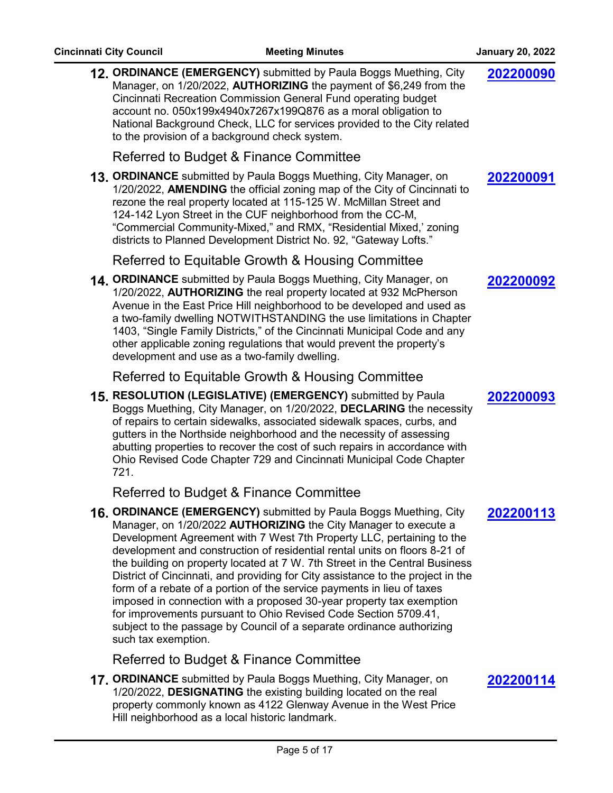| 12. ORDINANCE (EMERGENCY) submitted by Paula Boggs Muething, City<br>Manager, on 1/20/2022, AUTHORIZING the payment of \$6,249 from the<br>Cincinnati Recreation Commission General Fund operating budget<br>account no. 050x199x4940x7267x199Q876 as a moral obligation to<br>National Background Check, LLC for services provided to the City related<br>to the provision of a background check system.                                                                                                                                                                                                                                                                                                                                                                          | 202200090 |
|------------------------------------------------------------------------------------------------------------------------------------------------------------------------------------------------------------------------------------------------------------------------------------------------------------------------------------------------------------------------------------------------------------------------------------------------------------------------------------------------------------------------------------------------------------------------------------------------------------------------------------------------------------------------------------------------------------------------------------------------------------------------------------|-----------|
| Referred to Budget & Finance Committee                                                                                                                                                                                                                                                                                                                                                                                                                                                                                                                                                                                                                                                                                                                                             |           |
| 13. ORDINANCE submitted by Paula Boggs Muething, City Manager, on<br>1/20/2022, AMENDING the official zoning map of the City of Cincinnati to<br>rezone the real property located at 115-125 W. McMillan Street and<br>124-142 Lyon Street in the CUF neighborhood from the CC-M,<br>"Commercial Community-Mixed," and RMX, "Residential Mixed,' zoning<br>districts to Planned Development District No. 92, "Gateway Lofts."                                                                                                                                                                                                                                                                                                                                                      | 202200091 |
| Referred to Equitable Growth & Housing Committee                                                                                                                                                                                                                                                                                                                                                                                                                                                                                                                                                                                                                                                                                                                                   |           |
| 14. ORDINANCE submitted by Paula Boggs Muething, City Manager, on<br>1/20/2022, AUTHORIZING the real property located at 932 McPherson<br>Avenue in the East Price Hill neighborhood to be developed and used as<br>a two-family dwelling NOTWITHSTANDING the use limitations in Chapter<br>1403, "Single Family Districts," of the Cincinnati Municipal Code and any<br>other applicable zoning regulations that would prevent the property's<br>development and use as a two-family dwelling.                                                                                                                                                                                                                                                                                    | 202200092 |
| Referred to Equitable Growth & Housing Committee                                                                                                                                                                                                                                                                                                                                                                                                                                                                                                                                                                                                                                                                                                                                   |           |
| 15. RESOLUTION (LEGISLATIVE) (EMERGENCY) submitted by Paula<br>Boggs Muething, City Manager, on 1/20/2022, DECLARING the necessity<br>of repairs to certain sidewalks, associated sidewalk spaces, curbs, and<br>gutters in the Northside neighborhood and the necessity of assessing<br>abutting properties to recover the cost of such repairs in accordance with<br>Ohio Revised Code Chapter 729 and Cincinnati Municipal Code Chapter<br>721.                                                                                                                                                                                                                                                                                                                                 | 202200093 |
| Referred to Budget & Finance Committee                                                                                                                                                                                                                                                                                                                                                                                                                                                                                                                                                                                                                                                                                                                                             |           |
| 16. ORDINANCE (EMERGENCY) submitted by Paula Boggs Muething, City<br>Manager, on 1/20/2022 AUTHORIZING the City Manager to execute a<br>Development Agreement with 7 West 7th Property LLC, pertaining to the<br>development and construction of residential rental units on floors 8-21 of<br>the building on property located at 7 W. 7th Street in the Central Business<br>District of Cincinnati, and providing for City assistance to the project in the<br>form of a rebate of a portion of the service payments in lieu of taxes<br>imposed in connection with a proposed 30-year property tax exemption<br>for improvements pursuant to Ohio Revised Code Section 5709.41,<br>subject to the passage by Council of a separate ordinance authorizing<br>such tax exemption. | 202200113 |
| Referred to Budget & Finance Committee                                                                                                                                                                                                                                                                                                                                                                                                                                                                                                                                                                                                                                                                                                                                             |           |

**17. ORDINANCE** submitted by Paula Boggs Muething, City Manager, on 1/20/2022, **DESIGNATING** the existing building located on the real property commonly known as 4122 Glenway Avenue in the West Price Hill neighborhood as a local historic landmark.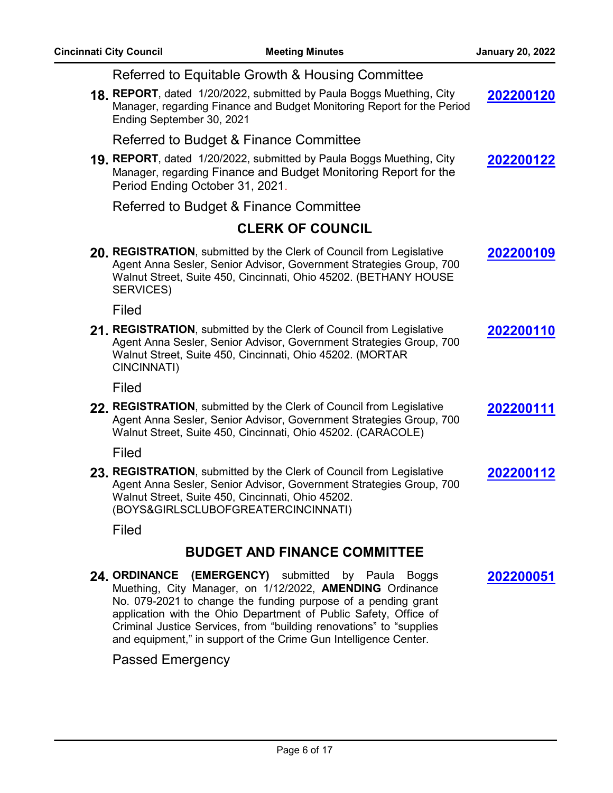| Referred to Equitable Growth & Housing Committee                                                                                                                                                                                        |           |
|-----------------------------------------------------------------------------------------------------------------------------------------------------------------------------------------------------------------------------------------|-----------|
| 18. REPORT, dated 1/20/2022, submitted by Paula Boggs Muething, City<br>Manager, regarding Finance and Budget Monitoring Report for the Period<br>Ending September 30, 2021                                                             | 202200120 |
| Referred to Budget & Finance Committee                                                                                                                                                                                                  |           |
| 19. REPORT, dated 1/20/2022, submitted by Paula Boggs Muething, City<br>Manager, regarding Finance and Budget Monitoring Report for the<br>Period Ending October 31, 2021.                                                              | 202200122 |
| Referred to Budget & Finance Committee                                                                                                                                                                                                  |           |
| <b>CLERK OF COUNCIL</b>                                                                                                                                                                                                                 |           |
| 20. REGISTRATION, submitted by the Clerk of Council from Legislative<br>Agent Anna Sesler, Senior Advisor, Government Strategies Group, 700<br>Walnut Street, Suite 450, Cincinnati, Ohio 45202. (BETHANY HOUSE<br>SERVICES)            | 202200109 |
| Filed                                                                                                                                                                                                                                   |           |
| 21. REGISTRATION, submitted by the Clerk of Council from Legislative<br>Agent Anna Sesler, Senior Advisor, Government Strategies Group, 700<br>Walnut Street, Suite 450, Cincinnati, Ohio 45202. (MORTAR<br>CINCINNATI)                 | 202200110 |
| Filed                                                                                                                                                                                                                                   |           |
| 22. REGISTRATION, submitted by the Clerk of Council from Legislative<br>Agent Anna Sesler, Senior Advisor, Government Strategies Group, 700<br>Walnut Street, Suite 450, Cincinnati, Ohio 45202. (CARACOLE)                             | 202200111 |
| Filed                                                                                                                                                                                                                                   |           |
| 23. REGISTRATION, submitted by the Clerk of Council from Legislative<br>Agent Anna Sesler, Senior Advisor, Government Strategies Group, 700<br>Walnut Street, Suite 450, Cincinnati, Ohio 45202.<br>(BOYS&GIRLSCLUBOFGREATERCINCINNATI) | 202200112 |
| Filed                                                                                                                                                                                                                                   |           |
| <b>BUDGET AND FINANCE COMMITTEE</b>                                                                                                                                                                                                     |           |
| 24 ORDINANCE (EMERGENCY) submitted by Paula Boggs<br>Muething, City Manager, on 1/12/2022, AMENDING Ordinance                                                                                                                           | 202200051 |

No. 079-2021 to change the funding purpose of a pending grant application with the Ohio Department of Public Safety, Office of Criminal Justice Services, from "building renovations" to "supplies and equipment," in support of the Crime Gun Intelligence Center.

### Passed Emergency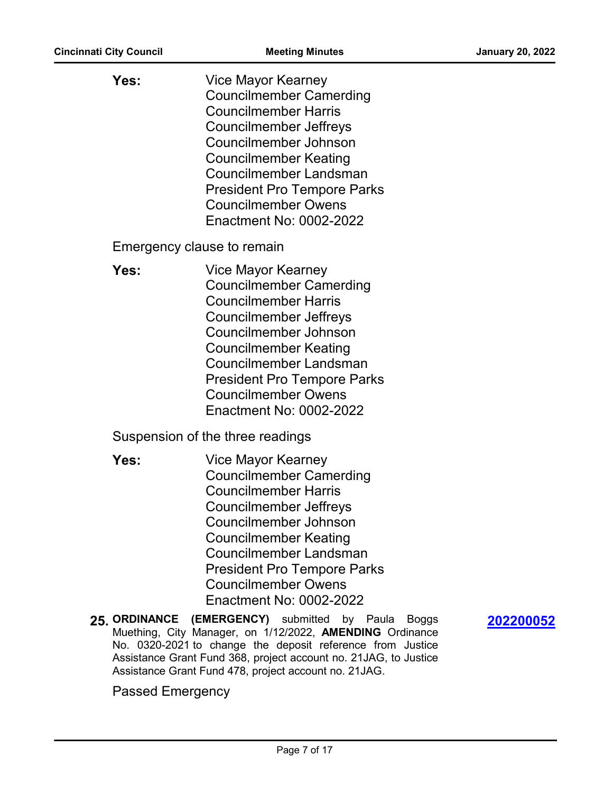| Yes: | Vice Mayor Kearney<br><b>Councilmember Camerding</b><br><b>Councilmember Harris</b><br><b>Councilmember Jeffreys</b><br>Councilmember Johnson<br><b>Councilmember Keating</b><br>Councilmember Landsman<br><b>President Pro Tempore Parks</b><br><b>Councilmember Owens</b><br>Enactment No: 0002-2022 |
|------|--------------------------------------------------------------------------------------------------------------------------------------------------------------------------------------------------------------------------------------------------------------------------------------------------------|
|      | Emergency clause to remain                                                                                                                                                                                                                                                                             |
| Yes: | Vice Mayor Kearney<br><b>Councilmember Camerding</b><br><b>Councilmember Harris</b><br><b>Councilmember Jeffreys</b><br>Councilmember Johnson<br><b>Councilmember Keating</b><br>Councilmember Landsman<br><b>President Pro Tempore Parks</b><br><b>Councilmember Owens</b><br>Enactment No: 0002-2022 |
|      | Suspension of the three readings                                                                                                                                                                                                                                                                       |
| Yes: | Vice Mayor Kearney<br><b>Councilmember Camerding</b><br><b>Councilmember Harris</b><br>Councilmember Jeffreys<br>Councilmember Johnson<br><b>Councilmember Keating</b><br>Councilmember Landsman<br><b>President Pro Tempore Parks</b><br><b>Councilmember Owens</b><br>Enactment No: 0002-2022        |
|      | 25. ORDINANCE (EMERGENCY) submitted by Paula<br><b>Boggs</b><br>Muething, City Manager, on 1/12/2022, AMENDING Ordinance<br>No. 0320-2021 to change the deposit reference from Justice                                                                                                                 |

**[202200052](http://cincinnatioh.legistar.com/gateway.aspx?m=l&id=/matter.aspx?key=7104)**

Passed Emergency

Assistance Grant Fund 368, project account no. 21JAG, to Justice

Assistance Grant Fund 478, project account no. 21JAG.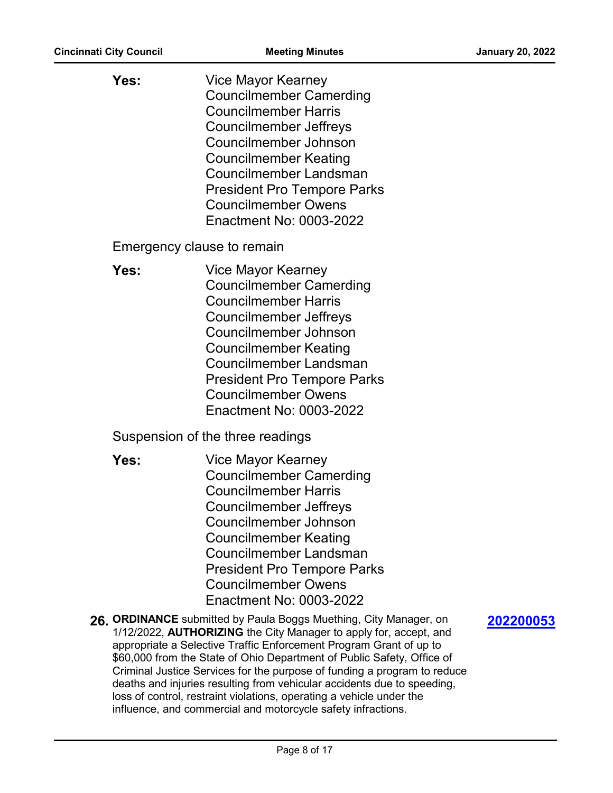| Yes:                       | Vice Mayor Kearney<br><b>Councilmember Camerding</b><br><b>Councilmember Harris</b><br><b>Councilmember Jeffreys</b><br>Councilmember Johnson<br><b>Councilmember Keating</b><br>Councilmember Landsman<br><b>President Pro Tempore Parks</b><br><b>Councilmember Owens</b><br>Enactment No: 0003-2022 |
|----------------------------|--------------------------------------------------------------------------------------------------------------------------------------------------------------------------------------------------------------------------------------------------------------------------------------------------------|
| Emergency clause to remain |                                                                                                                                                                                                                                                                                                        |
| Yes:                       | Vice Mayor Kearney<br><b>Councilmember Camerding</b><br><b>Councilmember Harris</b><br>Councilmember Jeffreys<br>Councilmember Johnson<br>Councilmember Keating<br>Councilmember Landsman<br><b>President Pro Tempore Parks</b><br><b>Councilmember Owens</b><br>Enactment No: 0003-2022               |
|                            | Suspension of the three readings                                                                                                                                                                                                                                                                       |
| Yes:                       | Vice Mayor Kearney<br><b>Councilmember Camerding</b><br><b>Councilmember Harris</b><br><b>Councilmember Jeffreys</b><br>Councilmember Johnson<br>Councilmember Keating<br>Councilmember Landsman<br><b>President Pro Tempore Parks</b><br><b>Councilmember Owens</b><br>Enactment No: 0003-2022        |
|                            | 26. ORDINANCE submitted by Paula Boggs Muething, City Manager, on<br>1/12/2022, <b>AUTHORIZING</b> the City Manager to apply for, accept, and<br>appropriate a Selective Traffic Enforcement Program Grant of up to<br>\$60,000 from the State of Ohio Department of Public Safety, Office of          |

**[202200053](http://cincinnatioh.legistar.com/gateway.aspx?m=l&id=/matter.aspx?key=7105)**

Page 8 of 17

Criminal Justice Services for the purpose of funding a program to reduce deaths and injuries resulting from vehicular accidents due to speeding,

loss of control, restraint violations, operating a vehicle under the influence, and commercial and motorcycle safety infractions.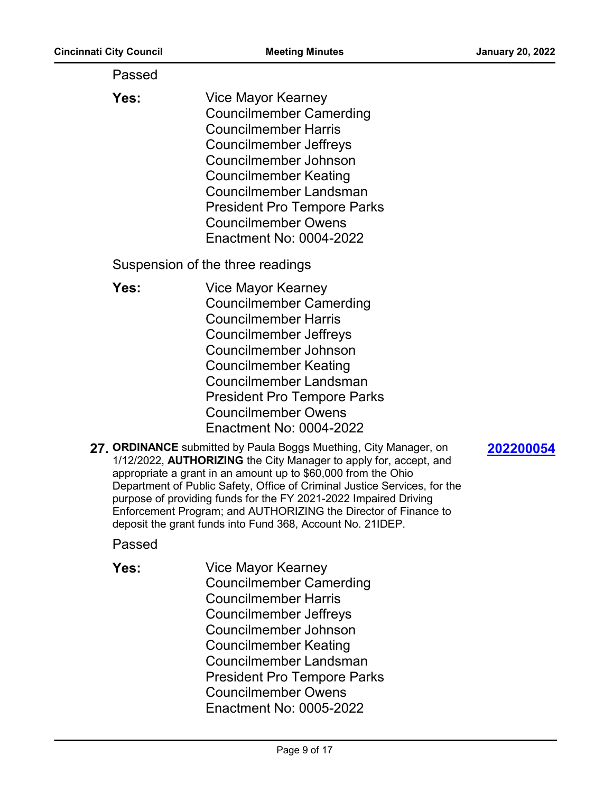| Passed |                                                                                                                                                                                                                                                                                                                                                                                                                                                        |
|--------|--------------------------------------------------------------------------------------------------------------------------------------------------------------------------------------------------------------------------------------------------------------------------------------------------------------------------------------------------------------------------------------------------------------------------------------------------------|
| Yes:   | Vice Mayor Kearney<br><b>Councilmember Camerding</b><br><b>Councilmember Harris</b><br><b>Councilmember Jeffreys</b><br>Councilmember Johnson<br><b>Councilmember Keating</b><br>Councilmember Landsman<br><b>President Pro Tempore Parks</b><br><b>Councilmember Owens</b><br>Enactment No: 0004-2022                                                                                                                                                 |
|        | Suspension of the three readings                                                                                                                                                                                                                                                                                                                                                                                                                       |
| Yes:   | Vice Mayor Kearney<br><b>Councilmember Camerding</b><br><b>Councilmember Harris</b><br>Councilmember Jeffreys<br>Councilmember Johnson<br><b>Councilmember Keating</b><br>Councilmember Landsman<br><b>President Pro Tempore Parks</b><br><b>Councilmember Owens</b><br>Enactment No: 0004-2022<br>27. ORDINANCE submitted by Paula Boggs Muething, City Manager, on<br>202200054<br>1/12/2022, AUTHORIZING the City Manager to apply for, accept, and |
|        | appropriate a grant in an amount up to \$60,000 from the Ohio<br>Department of Public Safety, Office of Criminal Justice Services, for the<br>purpose of providing funds for the FY 2021-2022 Impaired Driving<br>Enforcement Program; and AUTHORIZING the Director of Finance to<br>deposit the grant funds into Fund 368, Account No. 21IDEP.                                                                                                        |
| Passed |                                                                                                                                                                                                                                                                                                                                                                                                                                                        |
| Yes:   | <b>Vice Mayor Kearney</b><br><b>Councilmember Camerding</b><br><b>Councilmember Harris</b><br>Councilmember Jeffreys<br>Councilmember Johnson<br><b>Councilmember Keating</b><br><b>Councilmember Landsman</b><br><b>President Pro Tempore Parks</b><br><b>Councilmember Owens</b><br>Enactment No: 0005-2022                                                                                                                                          |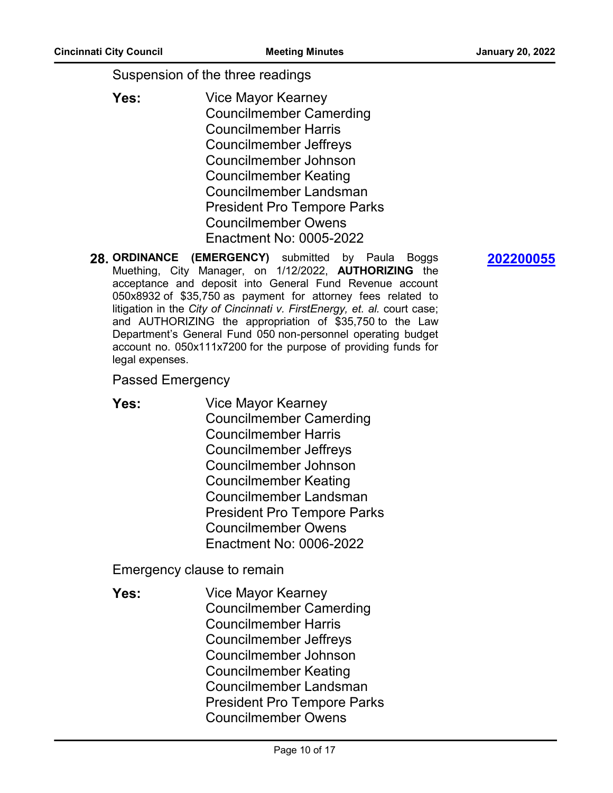Suspension of the three readings

- Vice Mayor Kearney Councilmember Camerding Councilmember Harris Councilmember Jeffreys Councilmember Johnson Councilmember Keating Councilmember Landsman President Pro Tempore Parks Councilmember Owens **Yes:** Enactment No: 0005-2022
- **28. ORDINANCE (EMERGENCY)** submitted by Paula Boggs Muething, City Manager, on 1/12/2022, **AUTHORIZING** the acceptance and deposit into General Fund Revenue account 050x8932 of \$35,750 as payment for attorney fees related to litigation in the *City of Cincinnati v. FirstEnergy, et. al.* court case; and AUTHORIZING the appropriation of \$35,750 to the Law Department's General Fund 050 non-personnel operating budget account no. 050x111x7200 for the purpose of providing funds for legal expenses.

#### Passed Emergency

Vice Mayor Kearney Councilmember Camerding Councilmember Harris Councilmember Jeffreys Councilmember Johnson Councilmember Keating Councilmember Landsman President Pro Tempore Parks Councilmember Owens **Yes:** Enactment No: 0006-2022

Emergency clause to remain

Vice Mayor Kearney Councilmember Camerding Councilmember Harris Councilmember Jeffreys Councilmember Johnson Councilmember Keating Councilmember Landsman President Pro Tempore Parks Councilmember Owens **Yes:**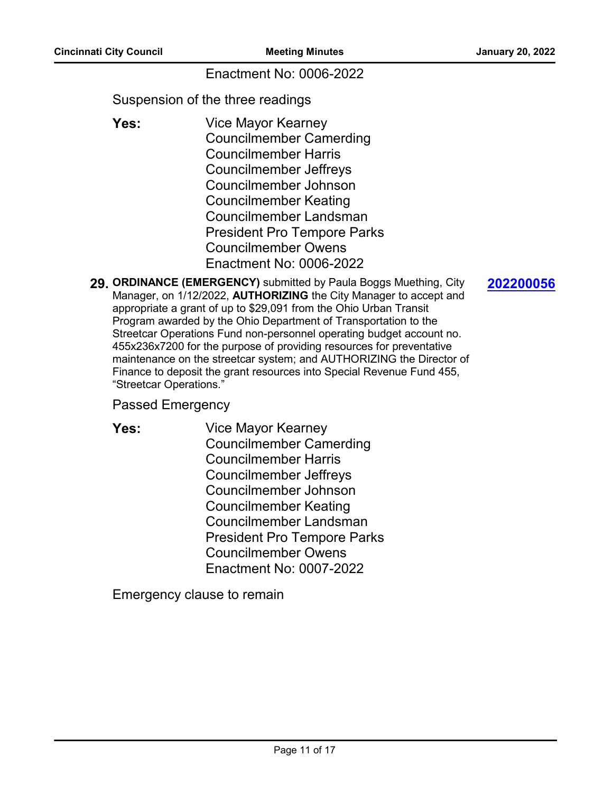#### Enactment No: 0006-2022

Suspension of the three readings

- Vice Mayor Kearney Councilmember Camerding Councilmember Harris Councilmember Jeffreys Councilmember Johnson Councilmember Keating Councilmember Landsman President Pro Tempore Parks Councilmember Owens **Yes:** Enactment No: 0006-2022
- **29. ORDINANCE (EMERGENCY)** submitted by Paula Boggs Muething, City Manager, on 1/12/2022, **AUTHORIZING** the City Manager to accept and appropriate a grant of up to \$29,091 from the Ohio Urban Transit Program awarded by the Ohio Department of Transportation to the Streetcar Operations Fund non-personnel operating budget account no. 455x236x7200 for the purpose of providing resources for preventative maintenance on the streetcar system; and AUTHORIZING the Director of Finance to deposit the grant resources into Special Revenue Fund 455, "Streetcar Operations."

#### Passed Emergency

Vice Mayor Kearney Councilmember Camerding Councilmember Harris Councilmember Jeffreys Councilmember Johnson Councilmember Keating Councilmember Landsman President Pro Tempore Parks Councilmember Owens **Yes:** Enactment No: 0007-2022

Emergency clause to remain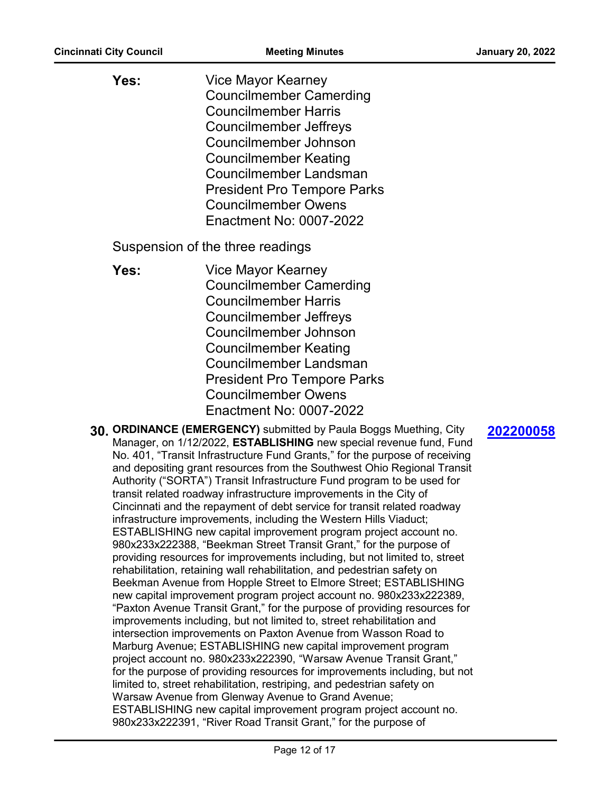| Yes: | Vice Mayor Kearney                 |
|------|------------------------------------|
|      | <b>Councilmember Camerding</b>     |
|      | <b>Councilmember Harris</b>        |
|      | <b>Councilmember Jeffreys</b>      |
|      | Councilmember Johnson              |
|      | <b>Councilmember Keating</b>       |
|      | Councilmember Landsman             |
|      | <b>President Pro Tempore Parks</b> |
|      | <b>Councilmember Owens</b>         |
|      | Enactment No: 0007-2022            |

Suspension of the three readings

- Vice Mayor Kearney Councilmember Camerding Councilmember Harris Councilmember Jeffreys Councilmember Johnson Councilmember Keating Councilmember Landsman President Pro Tempore Parks Councilmember Owens **Yes:** Enactment No: 0007-2022
- **30. ORDINANCE (EMERGENCY)** submitted by Paula Boggs Muething, City Manager, on 1/12/2022, **ESTABLISHING** new special revenue fund, Fund No. 401, "Transit Infrastructure Fund Grants," for the purpose of receiving and depositing grant resources from the Southwest Ohio Regional Transit Authority ("SORTA") Transit Infrastructure Fund program to be used for transit related roadway infrastructure improvements in the City of Cincinnati and the repayment of debt service for transit related roadway infrastructure improvements, including the Western Hills Viaduct; ESTABLISHING new capital improvement program project account no. 980x233x222388, "Beekman Street Transit Grant," for the purpose of providing resources for improvements including, but not limited to, street rehabilitation, retaining wall rehabilitation, and pedestrian safety on Beekman Avenue from Hopple Street to Elmore Street; ESTABLISHING new capital improvement program project account no. 980x233x222389, "Paxton Avenue Transit Grant," for the purpose of providing resources for improvements including, but not limited to, street rehabilitation and intersection improvements on Paxton Avenue from Wasson Road to Marburg Avenue; ESTABLISHING new capital improvement program project account no. 980x233x222390, "Warsaw Avenue Transit Grant," for the purpose of providing resources for improvements including, but not limited to, street rehabilitation, restriping, and pedestrian safety on Warsaw Avenue from Glenway Avenue to Grand Avenue; ESTABLISHING new capital improvement program project account no. 980x233x222391, "River Road Transit Grant," for the purpose of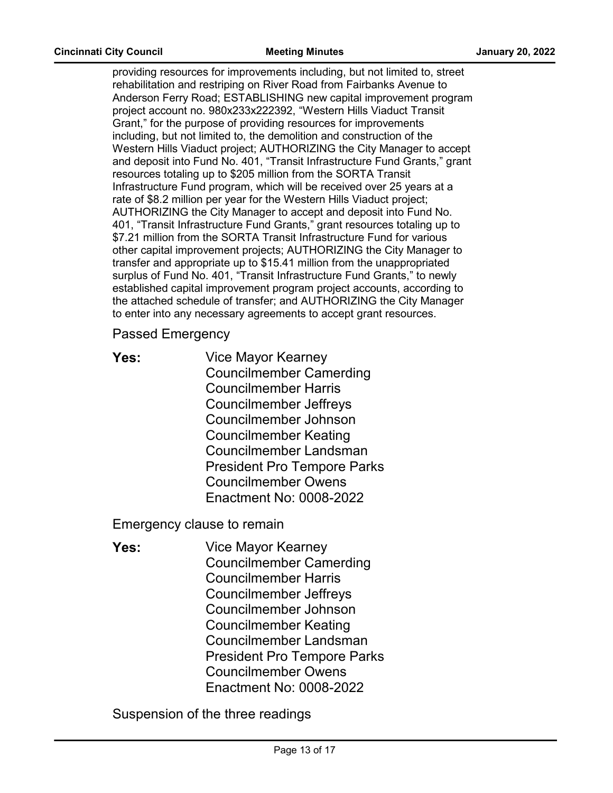providing resources for improvements including, but not limited to, street rehabilitation and restriping on River Road from Fairbanks Avenue to Anderson Ferry Road; ESTABLISHING new capital improvement program project account no. 980x233x222392, "Western Hills Viaduct Transit Grant," for the purpose of providing resources for improvements including, but not limited to, the demolition and construction of the Western Hills Viaduct project; AUTHORIZING the City Manager to accept and deposit into Fund No. 401, "Transit Infrastructure Fund Grants," grant resources totaling up to \$205 million from the SORTA Transit Infrastructure Fund program, which will be received over 25 years at a rate of \$8.2 million per year for the Western Hills Viaduct project; AUTHORIZING the City Manager to accept and deposit into Fund No. 401, "Transit Infrastructure Fund Grants," grant resources totaling up to \$7.21 million from the SORTA Transit Infrastructure Fund for various other capital improvement projects; AUTHORIZING the City Manager to transfer and appropriate up to \$15.41 million from the unappropriated surplus of Fund No. 401, "Transit Infrastructure Fund Grants," to newly established capital improvement program project accounts, according to the attached schedule of transfer; and AUTHORIZING the City Manager to enter into any necessary agreements to accept grant resources.

- Passed Emergency
- Vice Mayor Kearney Councilmember Camerding Councilmember Harris Councilmember Jeffreys Councilmember Johnson Councilmember Keating Councilmember Landsman President Pro Tempore Parks Councilmember Owens **Yes:** Enactment No: 0008-2022

Emergency clause to remain

- Vice Mayor Kearney Councilmember Camerding Councilmember Harris Councilmember Jeffreys Councilmember Johnson Councilmember Keating Councilmember Landsman President Pro Tempore Parks Councilmember Owens **Yes:** Enactment No: 0008-2022
- Suspension of the three readings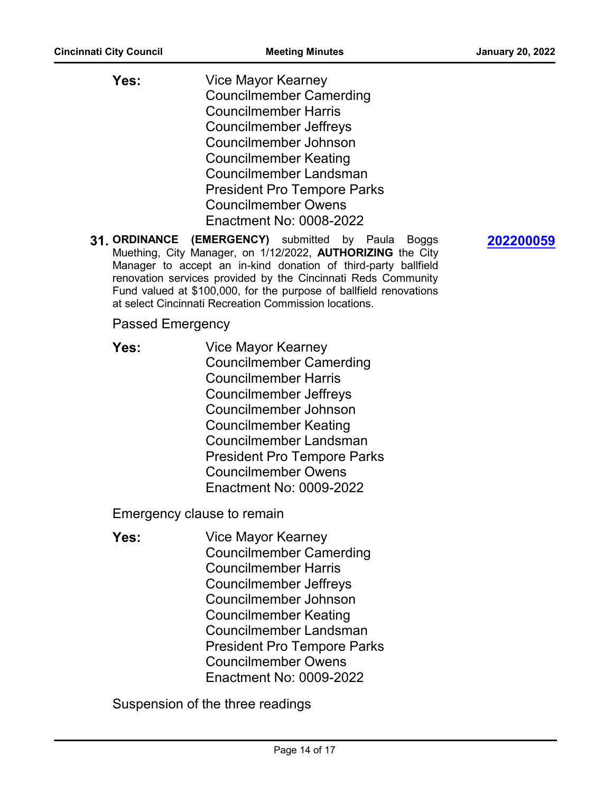- Vice Mayor Kearney Councilmember Camerding Councilmember Harris Councilmember Jeffreys Councilmember Johnson Councilmember Keating Councilmember Landsman President Pro Tempore Parks Councilmember Owens **Yes:** Enactment No: 0008-2022
- **31. ORDINANCE (EMERGENCY)** submitted by Paula Boggs Muething, City Manager, on 1/12/2022, **AUTHORIZING** the City Manager to accept an in-kind donation of third-party ballfield renovation services provided by the Cincinnati Reds Community Fund valued at \$100,000, for the purpose of ballfield renovations at select Cincinnati Recreation Commission locations.

#### Passed Emergency

Vice Mayor Kearney Councilmember Camerding Councilmember Harris Councilmember Jeffreys Councilmember Johnson Councilmember Keating Councilmember Landsman President Pro Tempore Parks Councilmember Owens **Yes:** Enactment No: 0009-2022

Emergency clause to remain

Vice Mayor Kearney Councilmember Camerding Councilmember Harris Councilmember Jeffreys Councilmember Johnson Councilmember Keating Councilmember Landsman President Pro Tempore Parks Councilmember Owens **Yes:** Enactment No: 0009-2022

Suspension of the three readings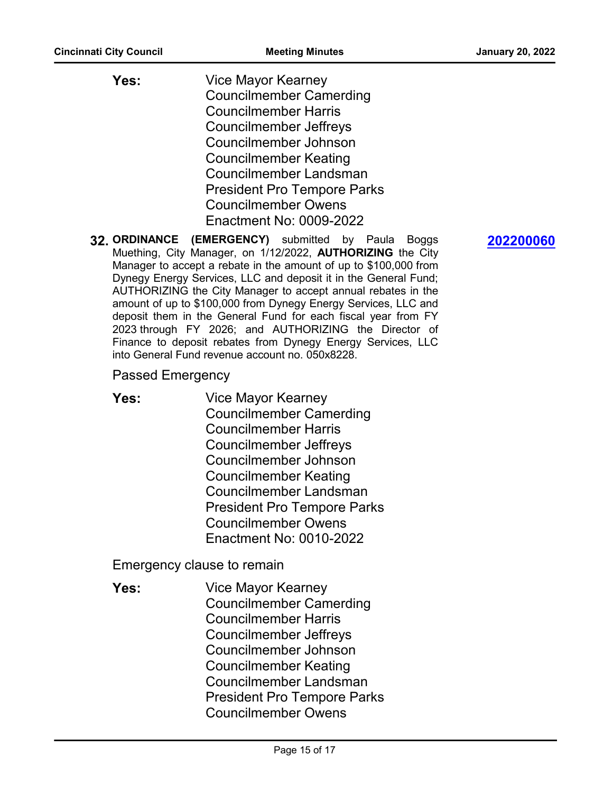- Vice Mayor Kearney Councilmember Camerding Councilmember Harris Councilmember Jeffreys Councilmember Johnson Councilmember Keating Councilmember Landsman President Pro Tempore Parks Councilmember Owens **Yes:** Enactment No: 0009-2022
- **32. ORDINANCE (EMERGENCY)** submitted by Paula Boggs Muething, City Manager, on 1/12/2022, **AUTHORIZING** the City Manager to accept a rebate in the amount of up to \$100,000 from Dynegy Energy Services, LLC and deposit it in the General Fund; AUTHORIZING the City Manager to accept annual rebates in the amount of up to \$100,000 from Dynegy Energy Services, LLC and deposit them in the General Fund for each fiscal year from FY 2023 through FY 2026; and AUTHORIZING the Director of Finance to deposit rebates from Dynegy Energy Services, LLC into General Fund revenue account no. 050x8228.
	- Passed Emergency
	- Vice Mayor Kearney Councilmember Camerding Councilmember Harris Councilmember Jeffreys Councilmember Johnson Councilmember Keating Councilmember Landsman President Pro Tempore Parks Councilmember Owens **Yes:** Enactment No: 0010-2022

Emergency clause to remain

Vice Mayor Kearney Councilmember Camerding Councilmember Harris Councilmember Jeffreys Councilmember Johnson Councilmember Keating Councilmember Landsman President Pro Tempore Parks Councilmember Owens **Yes:**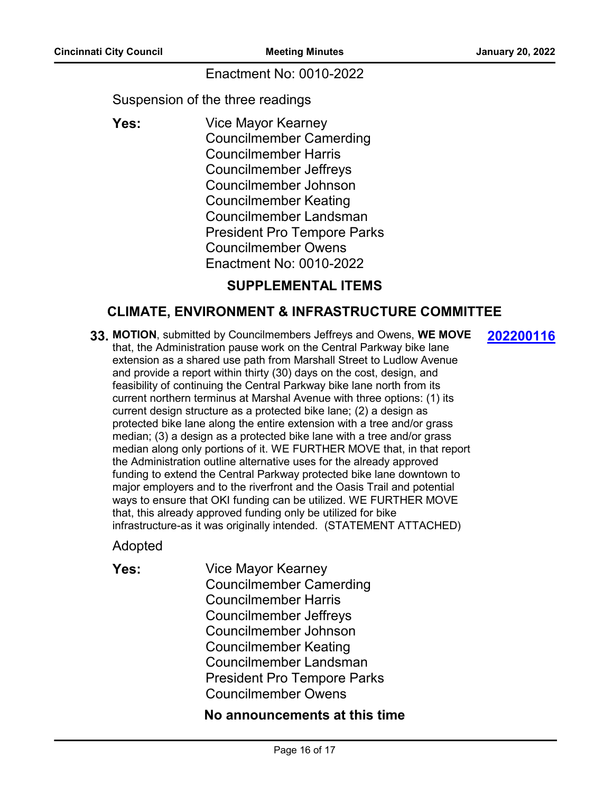**[202200116](http://cincinnatioh.legistar.com/gateway.aspx?m=l&id=/matter.aspx?key=7149)**

#### Enactment No: 0010-2022

Suspension of the three readings

Vice Mayor Kearney Councilmember Camerding Councilmember Harris Councilmember Jeffreys Councilmember Johnson Councilmember Keating Councilmember Landsman President Pro Tempore Parks Councilmember Owens **Yes:** Enactment No: 0010-2022

### **SUPPLEMENTAL ITEMS**

#### **CLIMATE, ENVIRONMENT & INFRASTRUCTURE COMMITTEE**

**33. MOTION**, submitted by Councilmembers Jeffreys and Owens, **WE MOVE** that, the Administration pause work on the Central Parkway bike lane extension as a shared use path from Marshall Street to Ludlow Avenue and provide a report within thirty (30) days on the cost, design, and feasibility of continuing the Central Parkway bike lane north from its current northern terminus at Marshal Avenue with three options: (1) its current design structure as a protected bike lane; (2) a design as protected bike lane along the entire extension with a tree and/or grass median; (3) a design as a protected bike lane with a tree and/or grass median along only portions of it. WE FURTHER MOVE that, in that report the Administration outline alternative uses for the already approved funding to extend the Central Parkway protected bike lane downtown to major employers and to the riverfront and the Oasis Trail and potential ways to ensure that OKI funding can be utilized. WE FURTHER MOVE that, this already approved funding only be utilized for bike infrastructure-as it was originally intended. (STATEMENT ATTACHED)

Adopted

Vice Mayor Kearney Councilmember Camerding Councilmember Harris Councilmember Jeffreys Councilmember Johnson Councilmember Keating Councilmember Landsman President Pro Tempore Parks Councilmember Owens **Yes:**

#### **No announcements at this time**